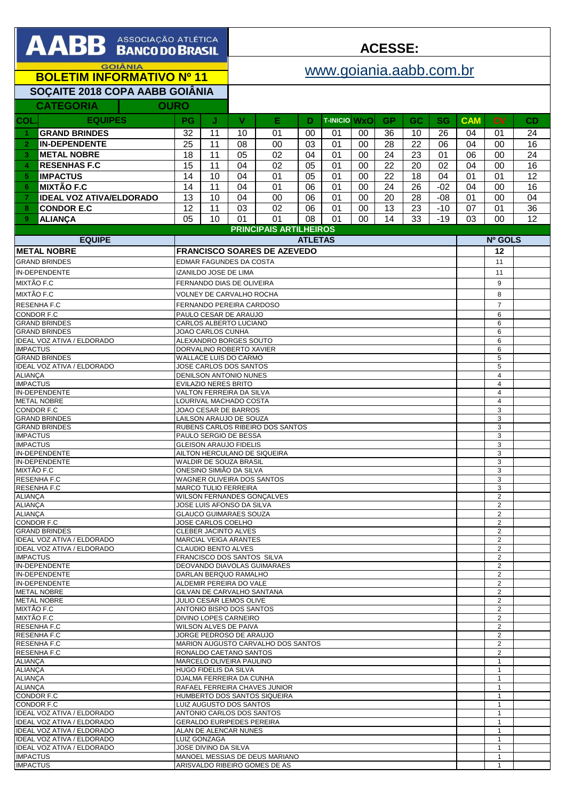| <b>AABB BANCO DO BRASIL</b>                                       |                                                           |  |                                                                | <b>ACESSE:</b>                                    |                          |                               |                |                     |          |           |           |                                  |                                  |                                  |          |
|-------------------------------------------------------------------|-----------------------------------------------------------|--|----------------------------------------------------------------|---------------------------------------------------|--------------------------|-------------------------------|----------------|---------------------|----------|-----------|-----------|----------------------------------|----------------------------------|----------------------------------|----------|
| <b>GOIÂNIA</b>                                                    |                                                           |  |                                                                | www.goiania.aabb.com.br                           |                          |                               |                |                     |          |           |           |                                  |                                  |                                  |          |
| <b>BOLETIM INFORMATIVO Nº 11</b>                                  |                                                           |  |                                                                |                                                   |                          |                               |                |                     |          |           |           |                                  |                                  |                                  |          |
| SOÇAITE 2018 COPA AABB GOIÂNIA<br><b>CATEGORIA</b><br><b>OURO</b> |                                                           |  |                                                                |                                                   |                          |                               |                |                     |          |           |           |                                  |                                  |                                  |          |
| <b>COL.</b>                                                       | <b>EQUIPES</b>                                            |  | PG                                                             | J                                                 | V                        | E.                            | D              | <b>T-INICIO WXO</b> |          | <b>GP</b> | <b>GC</b> | <b>SG</b>                        | <b>CAM</b>                       | c <sub>V</sub>                   | CD       |
| $\blacktriangleleft$                                              | <b>GRAND BRINDES</b>                                      |  | 32                                                             | 11                                                | 10                       | 01                            | 00             | 01                  | 00       | 36        | 10        | 26                               | 04                               | 01                               | 24       |
| $\overline{2}$                                                    | <b>IN-DEPENDENTE</b>                                      |  | 25                                                             | 11                                                | 08                       | 00                            | 03             | 01                  | 00       | 28        | 22        | 06                               | 04                               | 00                               | 16       |
| 3                                                                 | <b>METAL NOBRE</b>                                        |  | 18                                                             | 11<br>11                                          | 05<br>04                 | 02                            | 04             | 01<br>01            | $00\,$   | 24<br>22  | 23        | 01<br>02                         | 06<br>04                         | 00                               | 24       |
| -4<br>5                                                           | <b>RESENHAS F.C</b><br><b>IMPACTUS</b>                    |  | 15<br>14                                                       | 10                                                | 04                       | 02<br>01                      | 05<br>05       | 01                  | 00<br>00 | 22        | 20<br>18  | 04                               | 01                               | 00<br>01                         | 16<br>12 |
| 6                                                                 | <b>MIXTÃO F.C</b>                                         |  | 14                                                             | 11                                                | 04                       | 01                            | 06             | 01                  | 00       | 24        | 26        | $-02$                            | 04                               | 00                               | 16       |
|                                                                   | <b>IDEAL VOZ ATIVA/ELDORADO</b>                           |  | 13                                                             | 10                                                | 04                       | 00                            | 06             | 01                  | 00       | 20        | 28        | $-08$                            | 01                               | 00                               | 04       |
| 8<br>9                                                            | <b>CONDOR E.C</b><br><b>ALIANÇA</b>                       |  | 12<br>05                                                       | 11<br>10                                          | 03<br>01                 | 02<br>01                      | 06<br>08       | 01<br>01            | 00<br>00 | 13<br>14  | 23<br>33  | $-10$<br>$-19$                   | 07<br>03                         | 01<br>00                         | 36<br>12 |
|                                                                   |                                                           |  | <b>PRINCIPAIS ARTILHEIROS</b>                                  |                                                   |                          |                               |                |                     |          |           |           |                                  |                                  |                                  |          |
|                                                                   | <b>EQUIPE</b>                                             |  |                                                                |                                                   |                          |                               | <b>ATLETAS</b> |                     |          |           |           |                                  | <b>Nº GOLS</b>                   |                                  |          |
|                                                                   | <b>METAL NOBRE</b>                                        |  | <b>FRANCISCO SOARES DE AZEVEDO</b><br>EDMAR FAGUNDES DA COSTA  |                                                   |                          |                               |                |                     |          |           |           | 12                               |                                  |                                  |          |
|                                                                   | <b>GRAND BRINDES</b><br><b>IN-DEPENDENTE</b>              |  |                                                                |                                                   |                          |                               |                |                     |          |           |           |                                  |                                  | 11<br>11                         |          |
| MIXTÃO F.C                                                        |                                                           |  | IZANILDO JOSE DE LIMA<br>FERNANDO DIAS DE OLIVEIRA             |                                                   |                          |                               |                |                     |          |           |           | 9                                |                                  |                                  |          |
| MIXTÃO F.C                                                        |                                                           |  |                                                                |                                                   | VOLNEY DE CARVALHO ROCHA |                               |                |                     |          |           |           |                                  |                                  | 8                                |          |
| <b>CONDOR F.C</b>                                                 | RESENHA F.C                                               |  |                                                                | FERNANDO PEREIRA CARDOSO<br>PAULO CESAR DE ARAUJO |                          |                               |                |                     |          |           |           |                                  | $\overline{7}$<br>6              |                                  |          |
|                                                                   | <b>GRAND BRINDES</b>                                      |  |                                                                |                                                   | CARLOS ALBERTO LUCIANO   |                               |                |                     |          |           |           |                                  |                                  | 6                                |          |
|                                                                   | <b>GRAND BRINDES</b><br>IDEAL VOZ ATIVA / ELDORADO        |  | JOAO CARLOS CUNHA<br>ALEXANDRO BORGES SOUTO                    |                                                   |                          |                               |                |                     |          |           |           | 6<br>6                           |                                  |                                  |          |
| <b>IMPACTUS</b>                                                   |                                                           |  | DORVALINO ROBERTO XAVIER                                       |                                                   |                          |                               |                |                     |          |           |           | 6                                |                                  |                                  |          |
|                                                                   | <b>GRAND BRINDES</b><br><b>IDEAL VOZ ATIVA / ELDORADO</b> |  | <b>WALLACE LUIS DO CARMO</b><br>JOSE CARLOS DOS SANTOS         |                                                   |                          |                               |                |                     |          |           |           | 5<br>5                           |                                  |                                  |          |
| <b>ALIANÇA</b>                                                    |                                                           |  | DENILSON ANTONIO NUNES                                         |                                                   |                          |                               |                |                     |          |           |           | 4                                |                                  |                                  |          |
| <b>IMPACTUS</b><br>IN-DEPENDENTE                                  |                                                           |  | <b>EVILAZIO NERES BRITO</b><br>VALTON FERREIRA DA SILVA        |                                                   |                          |                               |                |                     |          |           |           | $\overline{4}$<br>$\overline{4}$ |                                  |                                  |          |
| <b>METAL NOBRE</b>                                                |                                                           |  | LOURIVAL MACHADO COSTA<br>JOAO CESAR DE BARROS                 |                                                   |                          |                               |                |                     |          |           |           | $\overline{4}$<br>3              |                                  |                                  |          |
| <b>CONDOR F.C</b><br><b>GRAND BRINDES</b>                         |                                                           |  | LAILSON ARAUJO DE SOUZA                                        |                                                   |                          |                               |                |                     |          |           |           | 3                                |                                  |                                  |          |
| <b>GRAND BRINDES</b><br><b>IMPACTUS</b>                           |                                                           |  | RUBENS CARLOS RIBEIRO DOS SANTOS<br>PAULO SERGIO DE BESSA      |                                                   |                          |                               |                |                     |          |           |           |                                  | 3<br>3                           |                                  |          |
| <b>IMPACTUS</b>                                                   |                                                           |  | <b>GLEISON ARAUJO FIDELIS</b>                                  |                                                   |                          |                               |                |                     |          |           |           |                                  | 3                                |                                  |          |
| <b>IN-DEPENDENTE</b><br>IN-DEPENDENTE                             |                                                           |  | AILTON HERCULANO DE SIQUEIRA<br>WALDIR DE SOUZA BRASIL         |                                                   |                          |                               |                |                     |          |           |           |                                  | 3<br>3                           |                                  |          |
| MIXTÃO F.C                                                        |                                                           |  | ONESINO SIMIAO DA SILVA                                        |                                                   |                          |                               |                |                     |          |           |           |                                  | 3                                |                                  |          |
|                                                                   | <b>RESENHA F.C</b><br><b>RESENHA F.C</b>                  |  | WAGNER OLIVEIRA DOS SANTOS<br><b>MARCO TULIO FERREIRA</b>      |                                                   |                          |                               |                |                     |          |           |           |                                  | 3<br>3                           |                                  |          |
| <b>ALIANÇA</b>                                                    |                                                           |  | <b>WILSON FERNANDES GONCALVES</b><br>JOSE LUIS AFONSO DA SILVA |                                                   |                          |                               |                |                     |          |           |           |                                  | 2                                |                                  |          |
| <b>ALIANÇA</b><br><b>ALIANÇA</b>                                  |                                                           |  | <b>GLAUCO GUIMARAES SOUZA</b>                                  |                                                   |                          |                               |                |                     |          |           |           | 2<br>$\overline{2}$              |                                  |                                  |          |
| <b>CONDOR F.C</b>                                                 |                                                           |  | JOSE CARLOS COELHO<br><b>CLEBER JACINTO ALVES</b>              |                                                   |                          |                               |                |                     |          |           |           | 2<br>$\overline{2}$              |                                  |                                  |          |
| <b>GRAND BRINDES</b><br>IDEAL VOZ ATIVA / ELDORADO                |                                                           |  | MARCIAL VEIGA ARANTES                                          |                                                   |                          |                               |                |                     |          |           |           | $\overline{2}$                   |                                  |                                  |          |
| IDEAL VOZ ATIVA / ELDORADO<br><b>IMPACTUS</b>                     |                                                           |  | CLAUDIO BENTO ALVES<br>FRANCISCO DOS SANTOS SILVA              |                                                   |                          |                               |                |                     |          |           |           | 2<br>$\overline{2}$              |                                  |                                  |          |
| <b>IN-DEPENDENTE</b>                                              |                                                           |  | DEOVANDO DIAVOLAS GUIMARAES                                    |                                                   |                          |                               |                |                     |          |           |           |                                  | $\overline{2}$                   |                                  |          |
|                                                                   | IN-DEPENDENTE<br>IN-DEPENDENTE                            |  |                                                                | DARLAN BERQUO RAMALHO<br>ALDEMIR PEREIRA DO VALE  |                          |                               |                |                     |          |           |           |                                  |                                  | $\overline{2}$<br>$\overline{2}$ |          |
| <b>METAL NOBRE</b>                                                |                                                           |  | GILVAN DE CARVALHO SANTANA                                     |                                                   |                          |                               |                |                     |          |           |           |                                  | 2                                |                                  |          |
| <b>METAL NOBRE</b><br><b>MIXTÃO F.C</b>                           |                                                           |  | JULIO CESAR LEMOS OLIVE<br>ANTONIO BISPO DOS SANTOS            |                                                   |                          |                               |                |                     |          |           |           |                                  | $\overline{2}$<br>$\overline{2}$ |                                  |          |
| <b>MIXTÃO F.C</b>                                                 |                                                           |  | DIVINO LOPES CARNEIRO                                          |                                                   |                          |                               |                |                     |          |           |           |                                  | $\overline{2}$<br>$\overline{2}$ |                                  |          |
| <b>RESENHA F.C</b><br><b>RESENHA F.C</b>                          |                                                           |  | WILSON ALVES DE PAIVA<br>JORGE PEDROSO DE ARAUJO               |                                                   |                          |                               |                |                     |          |           |           |                                  | $\overline{2}$                   |                                  |          |
| <b>RESENHA F.C</b><br><b>RESENHA F.C</b>                          |                                                           |  | MARION AUGUSTO CARVALHO DOS SANTOS<br>RONALDO CAETANO SANTOS   |                                                   |                          |                               |                |                     |          |           |           |                                  | 2<br>$\overline{2}$              |                                  |          |
| <b>ALIANÇA</b>                                                    |                                                           |  | MARCELO OLIVEIRA PAULINO                                       |                                                   |                          |                               |                |                     |          |           |           |                                  | $\mathbf{1}$                     |                                  |          |
| <b>ALIANÇA</b><br><b>ALIANÇA</b>                                  |                                                           |  | HUGO FIDELIS DA SILVA<br>DJALMA FERREIRA DA CUNHA              |                                                   |                          |                               |                |                     |          |           |           |                                  | $\mathbf{1}$<br>$\mathbf{1}$     |                                  |          |
| <b>ALIANÇA</b>                                                    |                                                           |  | RAFAEL FERREIRA CHAVES JUNIOR                                  |                                                   |                          |                               |                |                     |          |           |           |                                  | $\mathbf{1}$                     |                                  |          |
| CONDOR F.C<br><b>CONDOR F.C</b>                                   |                                                           |  | HUMBERTO DOS SANTOS SIQUEIRA<br>LUIZ AUGUSTO DOS SANTOS        |                                                   |                          |                               |                |                     |          |           |           |                                  | $\mathbf{1}$<br>$\mathbf{1}$     |                                  |          |
| IDEAL VOZ ATIVA / ELDORADO                                        |                                                           |  | ANTONIO CARLOS DOS SANTOS                                      |                                                   |                          |                               |                |                     |          |           |           | $\mathbf{1}$                     |                                  |                                  |          |
| IDEAL VOZ ATIVA / ELDORADO<br>IDEAL VOZ ATIVA / ELDORADO          |                                                           |  | <b>GERALDO EURIPEDES PEREIRA</b><br>ALAN DE ALENCAR NUNES      |                                                   |                          |                               |                |                     |          |           |           | $\mathbf{1}$<br>$\mathbf{1}$     |                                  |                                  |          |
| IDEAL VOZ ATIVA / ELDORADO                                        |                                                           |  | LUIZ GONZAGA                                                   |                                                   |                          |                               |                |                     |          |           |           | 1                                |                                  |                                  |          |
| IDEAL VOZ ATIVA / ELDORADO<br><b>IMPACTUS</b>                     |                                                           |  | JOSE DIVINO DA SILVA<br>MANOEL MESSIAS DE DEUS MARIANO         |                                                   |                          |                               |                |                     |          |           |           | 1<br>1                           |                                  |                                  |          |
| <b>IMPACTUS</b>                                                   |                                                           |  |                                                                |                                                   |                          | ARISVALDO RIBEIRO GOMES DE AS |                |                     |          |           |           |                                  |                                  | 1                                |          |